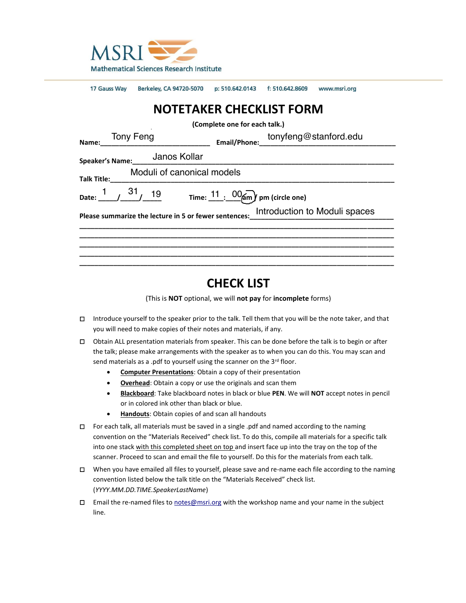

| 17 Gauss Way                                                                        | Berkeley, CA 94720-5070 p: 510.642.0143 f: 510.642.8609 www.msri.org |                                                                  |  |  |
|-------------------------------------------------------------------------------------|----------------------------------------------------------------------|------------------------------------------------------------------|--|--|
| <b>NOTETAKER CHECKLIST FORM</b>                                                     |                                                                      |                                                                  |  |  |
| (Complete one for each talk.)                                                       |                                                                      |                                                                  |  |  |
| Tony Feng<br>———————————————<br>Name:                                               |                                                                      | tonyfeng@stanford.edu                                            |  |  |
| Janos Kollar<br><b>Speaker's Name:</b>                                              |                                                                      |                                                                  |  |  |
| Moduli of canonical models<br>Talk Title:                                           |                                                                      |                                                                  |  |  |
| Date: $\frac{1}{1}$ $\frac{31}{1}$ 19                                               |                                                                      | Time: $\frac{11}{1}$ : $\frac{00}{2}$ m $\gamma$ pm (circle one) |  |  |
| Please summarize the lecture in 5 or fewer sentences:_improduction to Moduli spaces |                                                                      |                                                                  |  |  |
|                                                                                     |                                                                      |                                                                  |  |  |
|                                                                                     |                                                                      |                                                                  |  |  |
|                                                                                     |                                                                      |                                                                  |  |  |

# **CHECK LIST**

(This is **NOT** optional, we will **not pay** for **incomplete** forms)

- □ Introduce yourself to the speaker prior to the talk. Tell them that you will be the note taker, and that you will need to make copies of their notes and materials, if any.
- □ Obtain ALL presentation materials from speaker. This can be done before the talk is to begin or after the talk; please make arrangements with the speaker as to when you can do this. You may scan and send materials as a .pdf to yourself using the scanner on the 3rd floor.
	- **Computer Presentations**: Obtain a copy of their presentation
	- **Overhead**: Obtain a copy or use the originals and scan them
	- **Blackboard**: Take blackboard notes in black or blue **PEN**. We will **NOT** accept notes in pencil or in colored ink other than black or blue.
	- **Handouts**: Obtain copies of and scan all handouts
- □ For each talk, all materials must be saved in a single .pdf and named according to the naming convention on the "Materials Received" check list. To do this, compile all materials for a specific talk into one stack with this completed sheet on top and insert face up into the tray on the top of the scanner. Proceed to scan and email the file to yourself. Do this for the materials from each talk.
- □ When you have emailed all files to yourself, please save and re-name each file according to the naming convention listed below the talk title on the "Materials Received" check list. (*YYYY.MM.DD.TIME.SpeakerLastName*)
- □ Email the re-named files to [notes@msri.org](mailto:notes@msri.org) with the workshop name and your name in the subject line.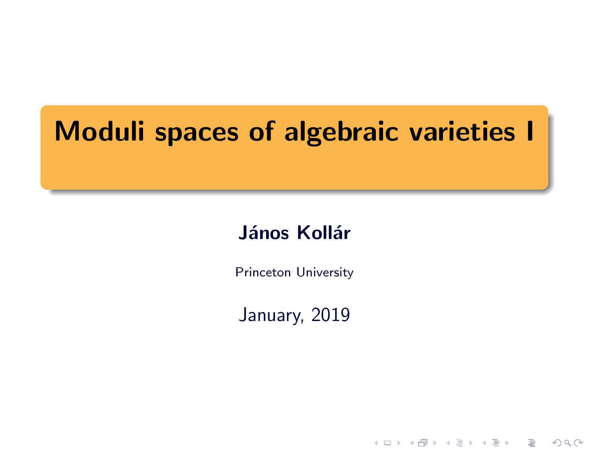# Moduli spaces of algebraic varieties I

## János Kollár

Princeton University

January, 2019

**HELMAN (E) (E) E MAN**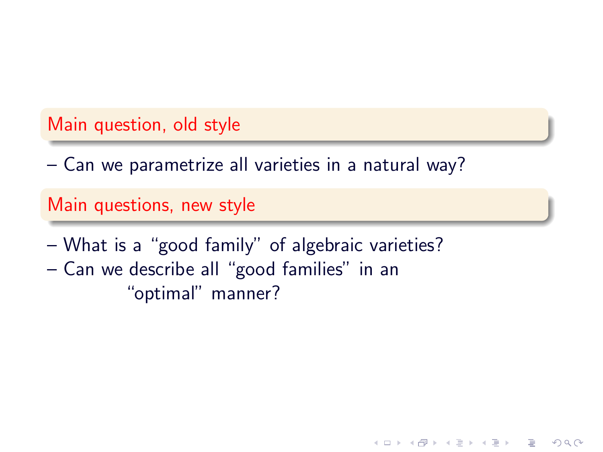#### Main question, old style

– Can we parametrize all varieties in a natural way?

#### Main questions, new style

– What is a "good family" of algebraic varieties? – Can we describe all "good families" in an "optimal" manner?

 $QQQ$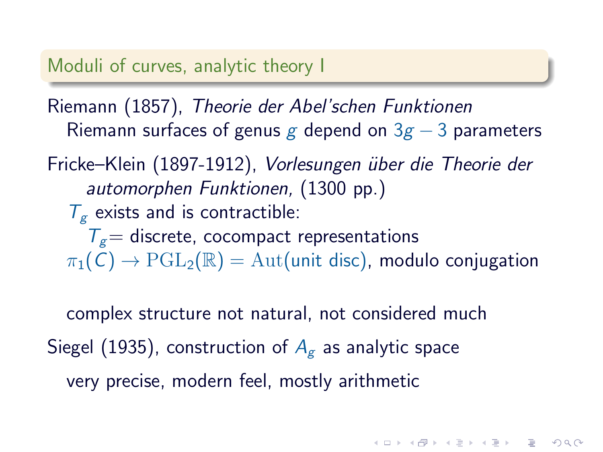## Moduli of curves, analytic theory I

Riemann (1857), Theorie der Abel'schen Funktionen Riemann surfaces of genus g depend on  $3g - 3$  parameters

Fricke–Klein (1897-1912), Vorlesungen über die Theorie der automorphen Funktionen, (1300 pp.)  $T_{g}$  exists and is contractible:  $T<sub>g</sub>$  discrete, cocompact representations  $\pi_1(C) \to \mathrm{PGL}_2(\mathbb{R}) = \mathrm{Aut}$  (unit disc), modulo conjugation

complex structure not natural, not considered much Siegel (1935), construction of  $A_{\epsilon}$  as analytic space very precise, modern feel, mostly arithmetic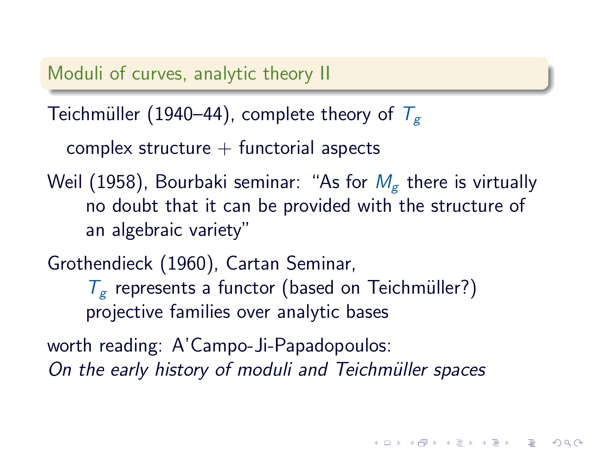Moduli of curves, analytic theory II

Teichmüller (1940–44), complete theory of  $T_{g}$ 

complex structure  $+$  functorial aspects

Weil (1958), Bourbaki seminar: "As for  $M<sub>g</sub>$  there is virtually no doubt that it can be provided with the structure of an algebraic variety"

Grothendieck (1960), Cartan Seminar,  $T_g$  represents a functor (based on Teichmüller?) projective families over analytic bases

worth reading: A'Campo-Ji-Papadopoulos: On the early history of moduli and Teichmüller spaces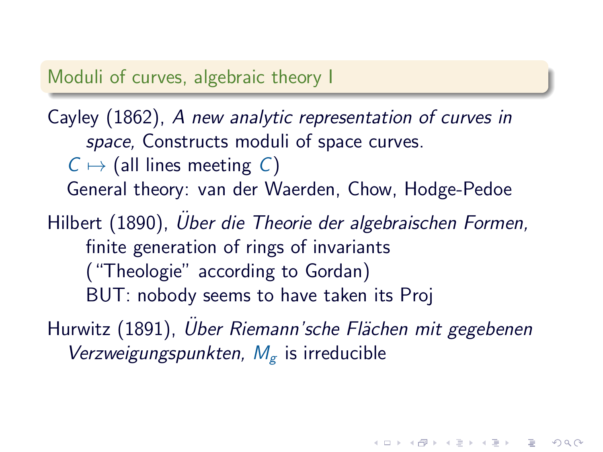#### Moduli of curves, algebraic theory I

## Cayley (1862), A new analytic representation of curves in space, Constructs moduli of space curves.  $C \mapsto$  (all lines meeting C) General theory: van der Waerden, Chow, Hodge-Pedoe Hilbert (1890), Uber die Theorie der algebraischen Formen, finite generation of rings of invariants ("Theologie" according to Gordan) BUT: nobody seems to have taken its Proj Hurwitz (1891), Uber Riemann'sche Flächen mit gegebenen Verzweigungspunkten,  $M_{\rm g}$  is irreducible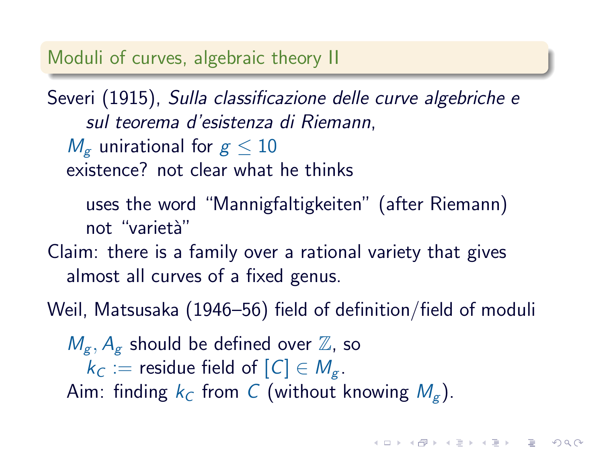#### Moduli of curves, algebraic theory II

Severi (1915), Sulla classificazione delle curve algebriche e sul teorema d'esistenza di Riemann,  $M_{\rm g}$  unirational for  $g < 10$ existence? not clear what he thinks uses the word "Mannigfaltigkeiten" (after Riemann) not "varietà" Claim: there is a family over a rational variety that gives almost all curves of a fixed genus.

Weil, Matsusaka (1946–56) field of definition/field of moduli

 $M_{\varepsilon}$ ,  $A_{\varepsilon}$  should be defined over  $\mathbb{Z}$ , so  $k_C :=$  residue field of  $[C] \in M_{\varphi}$ . Aim: finding  $k_C$  from C (without knowing  $M_g$ ).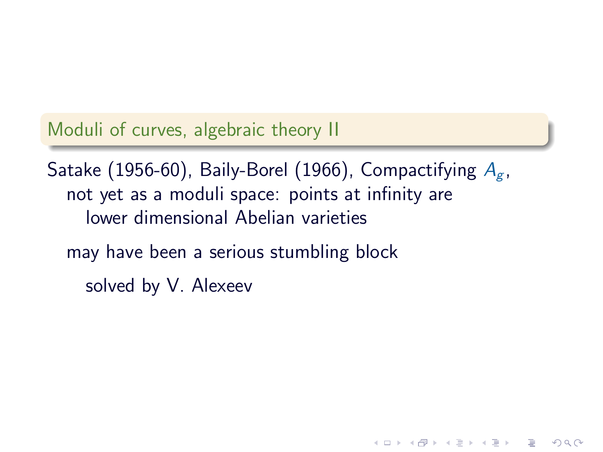Moduli of curves, algebraic theory II

Satake (1956-60), Baily-Borel (1966), Compactifying  $A_{\sigma}$ , not yet as a moduli space: points at infinity are lower dimensional Abelian varieties may have been a serious stumbling block solved by V. Alexeev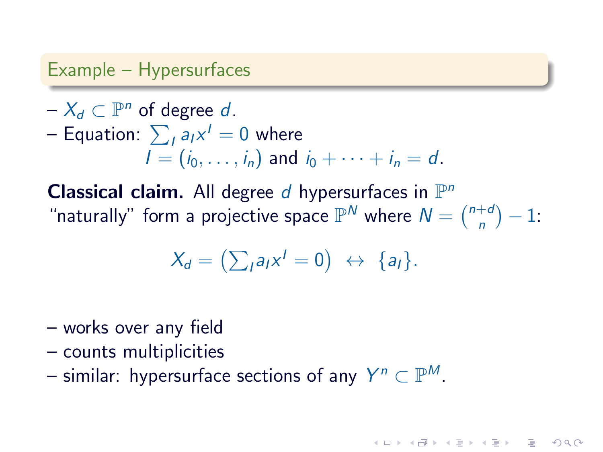#### Example – Hypersurfaces

- $-X_d \subset \mathbb{P}^n$  of degree d. – Equation:  $\sum_I a_I x^I = 0$  where  $I = (i_0, \ldots, i_n)$  and  $i_0 + \cdots + i_n = d$ .
- **Classical claim.** All degree  $d$  hypersurfaces in  $\mathbb{P}^n$ "naturally" form a projective space  $\mathbb{P}^N$  where  $N = \binom{n+d}{n}$  $\binom{+d}{n} - 1$ :

$$
X_d = \left(\sum_{l} a_l x^l = 0\right) \; \leftrightarrow \; \{a_l\}.
$$

- works over any field
- counts multiplicities
- similar: hypersurface sections of any  $Y^n \subset \mathbb{P}^M$ .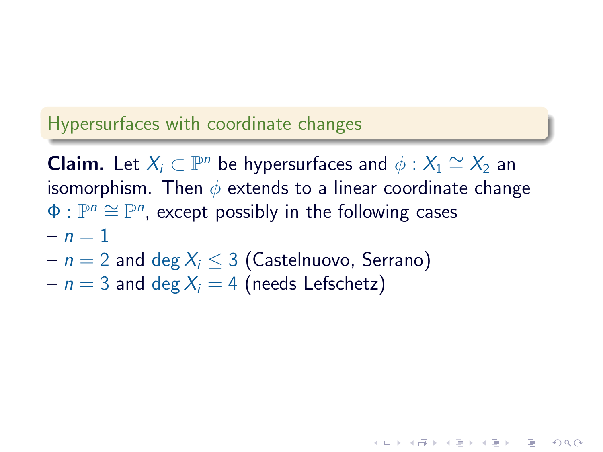#### Hypersurfaces with coordinate changes

**Claim.** Let  $X_i \subset \mathbb{P}^n$  be hypersurfaces and  $\phi : X_1 \cong X_2$  and isomorphism. Then  $\phi$  extends to a linear coordinate change  $\Phi: \mathbb{P}^n \cong \mathbb{P}^n$ , except possibly in the following cases  $- n = 1$ 

- $n = 2$  and deg  $X_i \leq 3$  (Castelnuovo, Serrano)
- $n = 3$  and deg  $X_i = 4$  (needs Lefschetz)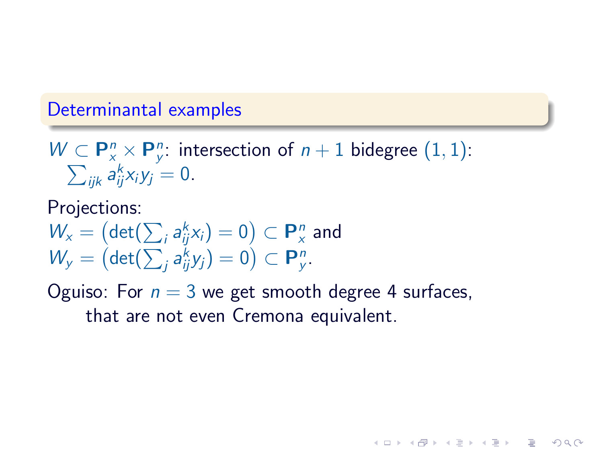#### Determinantal examples

 $W \subset \mathbf{P}_{x}^{n} \times \mathbf{P}_{y}^{n}$ : intersection of  $n+1$  bidegree  $(1,1)$ :  $\sum_{ijk} a_{ij}^k x_i y_j = 0.$ 

Projections:  $W_{x}=\left(\det(\sum_{i}a_{ij}^{k}x_{i})=0\right)\subset\mathbf{P}_{x}^{n}$  and  $W_y = (\det(\sum_j a_{ij}^k y_j) = 0) \subset \mathbf{P}_y^n$ .

Oguiso: For  $n = 3$  we get smooth degree 4 surfaces, that are not even Cremona equivalent.

**KOR SO KEY (E) E VAN**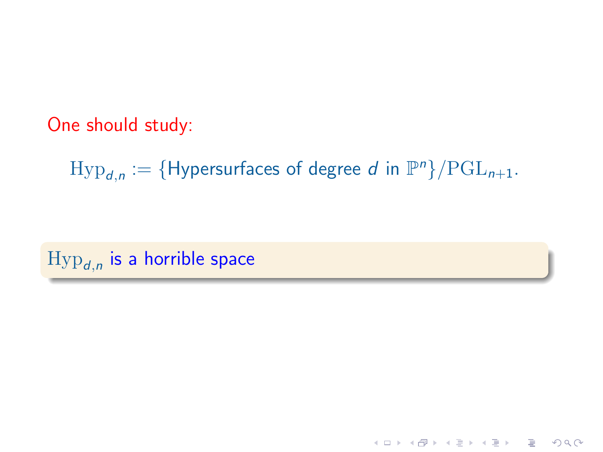One should study:

 $\text{Hyp}_{d,n} := \{ \text{Hypersurfaces of degree } d \text{ in } \mathbb{P}^n \} / \text{PGL}_{n+1}.$ 

 $\mathrm{Hyp}_{\bm{d},n}$  is a horrible space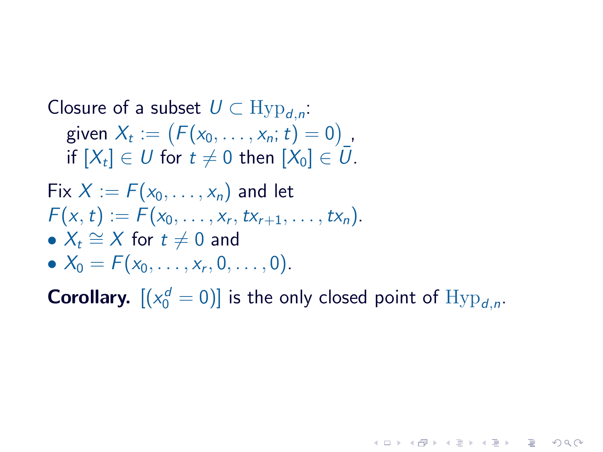\n
$$
\begin{aligned}\n &\text{Closure of a subset } U \subset \text{Hyp}_{d,n}: \\
&\text{given } X_t := \left( F(x_0, \ldots, x_n; t) = 0 \right), \\
&\text{if } [X_t] \in U \text{ for } t \neq 0 \text{ then } [X_0] \in \overline{U}.\n \end{aligned}
$$
\n

\n\n
$$
\begin{aligned}\n &\text{Fix } X := F(x_0, \ldots, x_n) \text{ and let} \\
&\text{Fix } X_t := F(x_0, \ldots, x_r, tx_{r+1}, \ldots, tx_n).\n \end{aligned}
$$
\n

\n\n
$$
\begin{aligned}\n &\text{For } t \neq 0 \text{ and} \\
&\text{For } t \neq 0 \text{ and} \\
&\text{For } X_0 = F(x_0, \ldots, x_r, 0, \ldots, 0).\n \end{aligned}
$$
\n

**Corollary.**  $[(x_0^d = 0)]$  is the only closed point of  $Hyp_{d,n}$ .

**KEIK K@IK KEIK KEIK TEIK YOU(M)**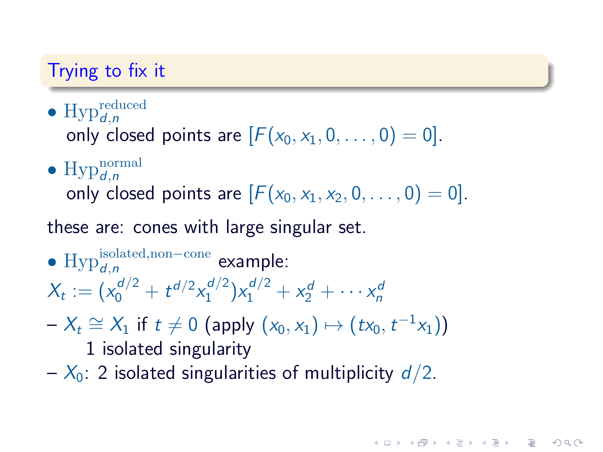### Trying to fix it

• Hyp $_{d,n}^{\text{reduced}}$ 

only closed points are  $[F(x_0, x_1, 0, \ldots, 0) = 0]$ .

• Hyp $_{d,n}^{\text{normal}}$ 

only closed points are  $[F(x_0, x_1, x_2, 0, \ldots, 0) = 0]$ .

these are: cones with large singular set.

- $\text{Hyp}_{d,n}^{\text{isolated,non-cone}}$  example:  $X_t := (x_0^{d/2} + t^{d/2} x_1^{d/2})$  $(x_1^{d/2})x_1^{d/2} + x_2^{d} + \cdots x_n^{d}$
- $-X_t \cong X_1$  if  $t \neq 0$  (apply  $(x_0, x_1) \mapsto (tx_0, t^{-1}x_1)$ )

1 isolated singularity

 $-\chi_0$ : 2 isolated singularities of multiplicity  $d/2$ .

**INDIANAL ARABA E VOOR**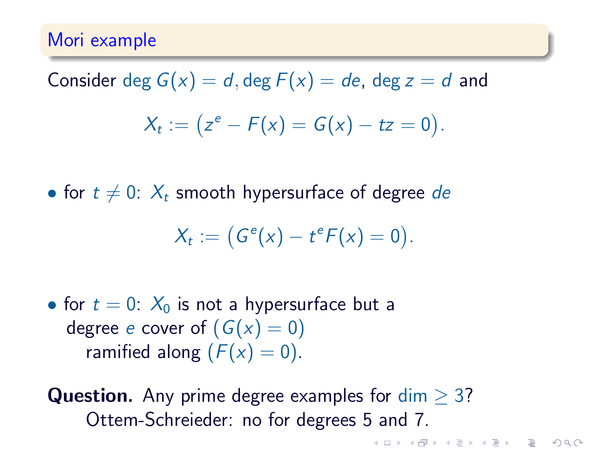#### Mori example

## Consider deg  $G(x) = d$ , deg  $F(x) = de$ , deg  $z = d$  and

$$
X_t := (z^e - F(x) = G(x) - tz = 0).
$$

• for  $t \neq 0$ :  $X_t$  smooth hypersurface of degree de

$$
X_t := (G^e(x) - t^e F(x) = 0).
$$

• for  $t = 0$ :  $X_0$  is not a hypersurface but a degree e cover of  $(G(x) = 0)$ ramified along  $(F(x) = 0)$ .

**Question.** Any prime degree examples for  $dim > 3$ ? Ottem-Schreieder: no for degrees 5 and 7.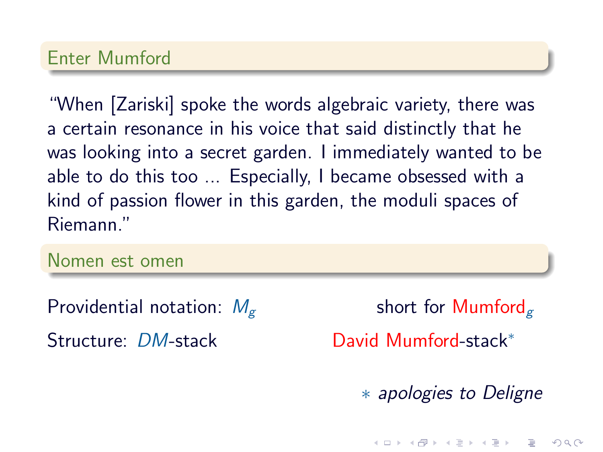#### Enter Mumford

"When [Zariski] spoke the words algebraic variety, there was a certain resonance in his voice that said distinctly that he was looking into a secret garden. I immediately wanted to be able to do this too ... Especially, I became obsessed with a kind of passion flower in this garden, the moduli spaces of Riemann."

Nomen est omen

Providential notation:  $M_{\sigma}$  short for Mumford<sub> $\sigma$ </sub>

Structure: DM-stack David Mumford-stack<sup>∗</sup>

∗ apologies to Deligne

 $QQQ$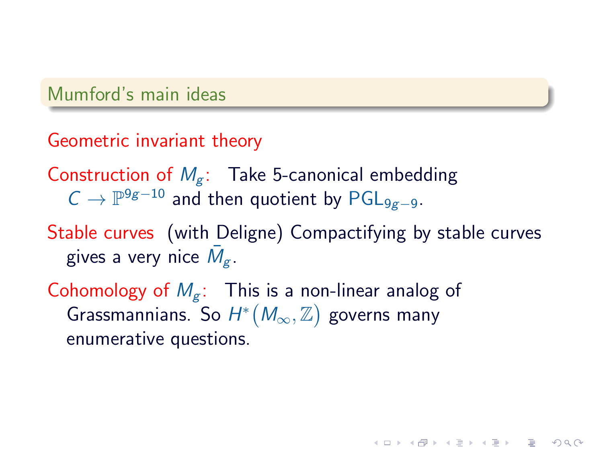#### Mumford's main ideas

### Geometric invariant theory

- Construction of  $M_g$ : Take 5-canonical embedding  $C \rightarrow \mathbb{P}^{9g-10}$  and then quotient by  $\mathsf{PGL}_{9g-9}.$
- Stable curves (with Deligne) Compactifying by stable curves gives a very nice  $\bar{M}_{g}$ .

**KOD RED RED CHARGE** 

Cohomology of  $M_g$ : This is a non-linear analog of Grassmannians. So  $H^*(M_\infty, \mathbb{Z})$  governs many enumerative questions.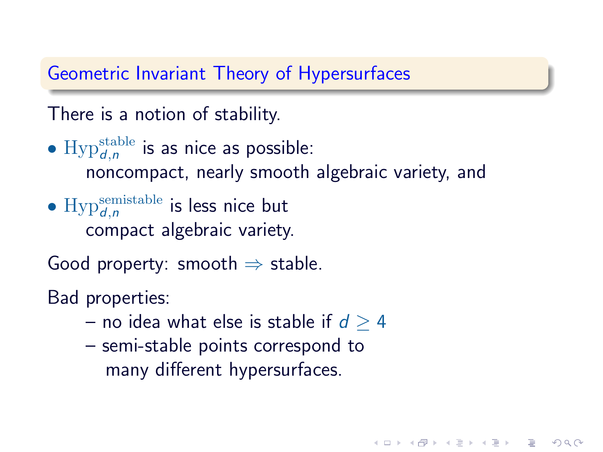### Geometric Invariant Theory of Hypersurfaces

There is a notion of stability.

- $\text{Hyp}_{d,n}^{\text{stable}}$  is as nice as possible: noncompact, nearly smooth algebraic variety, and
- $Hyp_{d,n}^{\text{semistable}}$  is less nice but compact algebraic variety.

Good property: smooth  $\Rightarrow$  stable.

Bad properties:

– no idea what else is stable if  $d \geq 4$ 

**KOD RED RED CHARGE** 

– semi-stable points correspond to many different hypersurfaces.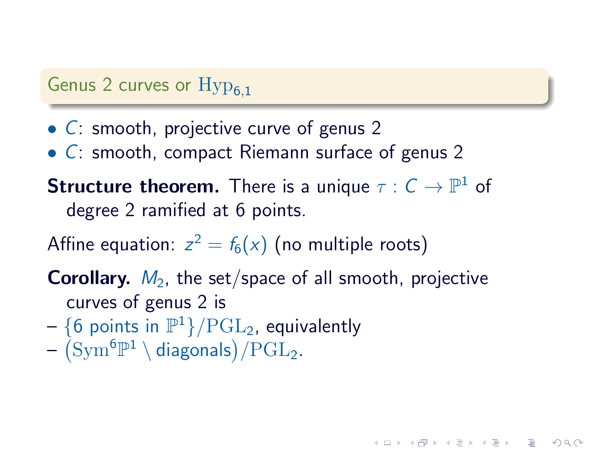#### Genus 2 curves or  $Hyp_{6,1}$

- C: smooth, projective curve of genus 2
- C: smooth, compact Riemann surface of genus 2

**Structure theorem.** There is a unique  $\tau : C \to \mathbb{P}^1$  of degree 2 ramified at 6 points.

Affine equation:  $z^2=f_6(x)$  (no multiple roots)

**Corollary.**  $M_2$ , the set/space of all smooth, projective curves of genus 2 is

**KOR SO KEY (E) E VAN** 

- $\{6$  points in  $\mathbb{P}^1\}/\mathrm{PGL}_2$ , equivalently
- $\left({\rm Sym}^6{\mathbb{P}}^1 \setminus \text{diagonals}\right)/{\rm PGL}_2.$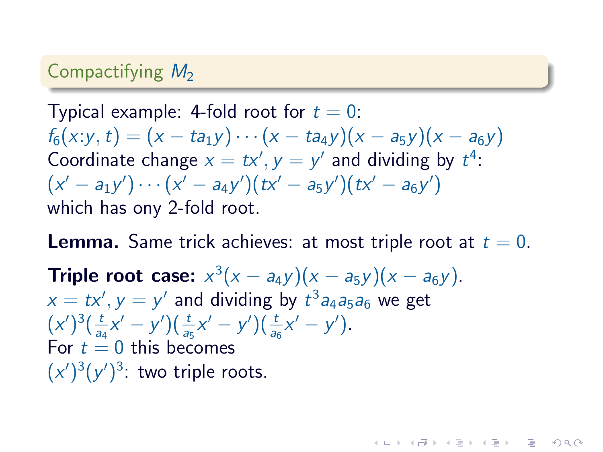### Compactifying  $M<sub>2</sub>$

Typical example: 4-fold root for  $t = 0$ :  $f_6(x; y, t) = (x - ta_1y) \cdots (x - ta_4y)(x - a_5y)(x - a_6y)$ Coordinate change  $x = tx', y = y'$  and dividing by  $t^4$ :  $\big( {\sf x}' - {\sf a}_1 {\sf y}' \big) \cdots \big( {\sf x}' - {\sf a}_4 {\sf y}' \big) \big( t {\sf x}' - {\sf a}_5 {\sf y}' \big) \big( t {\sf x}' - {\sf a}_6 {\sf y}' \big)$ which has ony 2-fold root.

**Lemma.** Same trick achieves: at most triple root at  $t = 0$ . **Triple root case:**  $x^3(x - a_4y)(x - a_5y)(x - a_6y)$ .  $x = tx', y = y'$  and dividing by  $t^3 a_4 a_5 a_6$  we get  $(x')^{3}(\frac{t}{2})$  $(\frac{t}{a_4}x'-y')(\frac{t}{a_5}x'-y')(\frac{t}{a_6}x'-y')$ . For  $t = 0$  this becomes  $(x')^{3}(y')^{3}$ : two triple roots.

**INDIANAL ARABA E VOOR**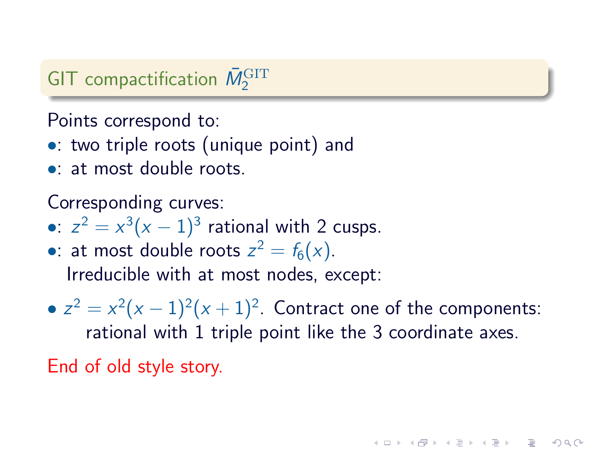## GIT compactification  $\bar{M}_2^{\text{GIT}}$

Points correspond to:

- •: two triple roots (unique point) and
- at most double roots.

Corresponding curves:

- •:  $z^2 = x^3(x-1)^3$  rational with 2 cusps.
- •: at most double roots  $z^2 = f_6(x)$ . Irreducible with at most nodes, except:
- $z^2 = x^2(x-1)^2(x+1)^2$ . Contract one of the components: rational with 1 triple point like the 3 coordinate axes.

End of old style story.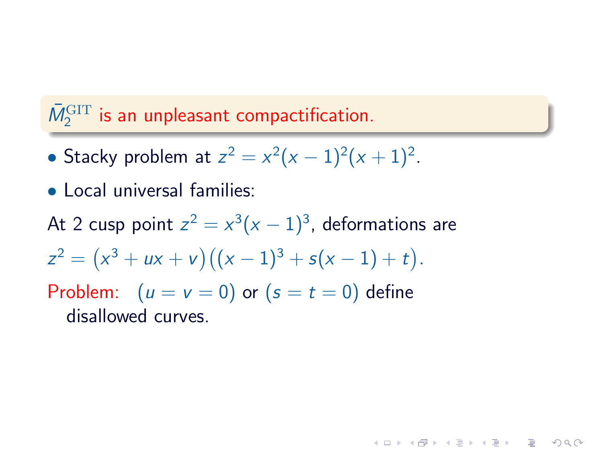## $\bar{M}_2^{\rm GIT}$  is an unpleasant compactification.

- Stacky problem at  $z^2 = x^2(x-1)^2(x+1)^2$ .
- Local universal families:
- At 2 cusp point  $z^2 = x^3 (x-1)^3$ , deformations are

**KOR SO KEY (E) E VAN** 

 $z^2 = (x^3 + ux + v)((x - 1)^3 + s(x - 1) + t).$ 

Problem:  $(u = v = 0)$  or  $(s = t = 0)$  define disallowed curves.